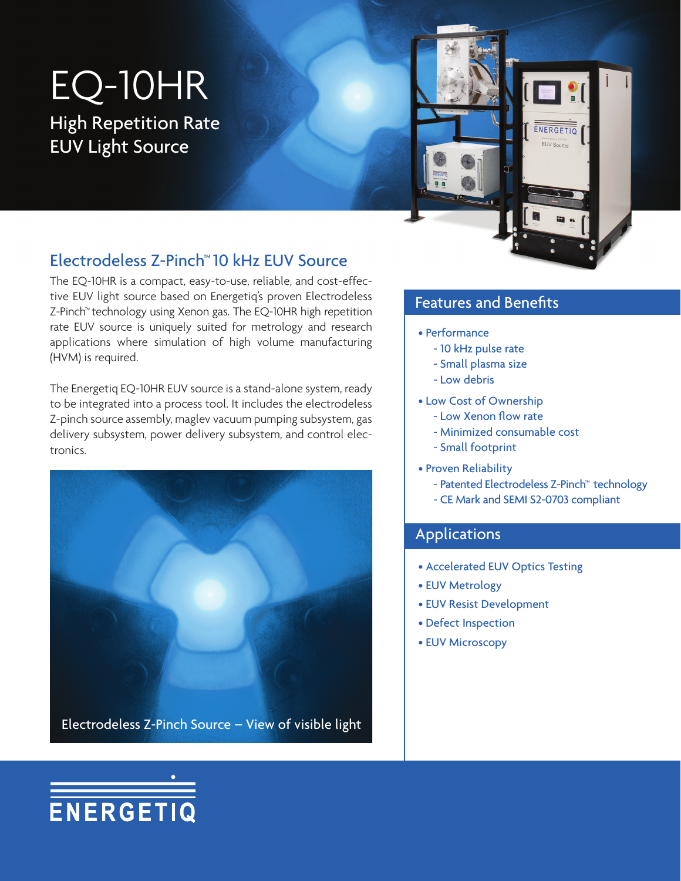# EQ-10HR High Repetition Rate

EUV Light Source



### Electrodeless Z-Pinch™ 10 kHz EUV Source

The EQ-10HR is a compact, easy-to-use, reliable, and cost-effective EUV light source based on Energetiq's proven Electrodeless Z-Pinch™ technology using Xenon gas. The EQ-10HR high repetition rate EUV source is uniquely suited for metrology and research applications where simulation of high volume manufacturing (HVM) is required.

The Energetiq EQ-10HR EUV source is a stand-alone system, ready to be integrated into a process tool. It includes the electrodeless Z-pinch source assembly, maglev vacuum pumping subsystem, gas delivery subsystem, power delivery subsystem, and control electronics.



### Features and Benefits

- Performance
	- 10 kHz pulse rate
	- Small plasma size
	- Low debris
- Low Cost of Ownership
	- Low Xenon flow rate
	- Minimized consumable cost
	- Small footprint
- Proven Reliability
	- Patented Electrodeless Z-Pinch™ technology
	- CE Mark and SEMI S2-0703 compliant

#### Applications

- Accelerated EUV Optics Testing
- EUV Metrology
- EUV Resist Development
- Defect Inspection
- EUV Microscopy

# ENERGETIQ